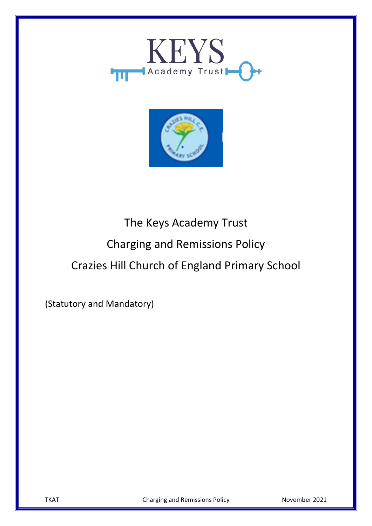



# The Keys Academy Trust Charging and Remissions Policy Crazies Hill Church of England Primary School

(Statutory and Mandatory)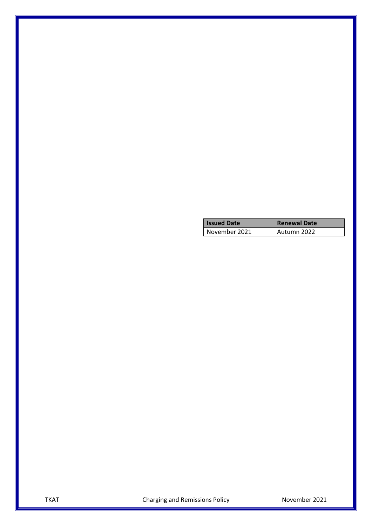| <b>Issued Date</b> | <b>Renewal Date</b> |
|--------------------|---------------------|
| November 2021      | Autumn 2022         |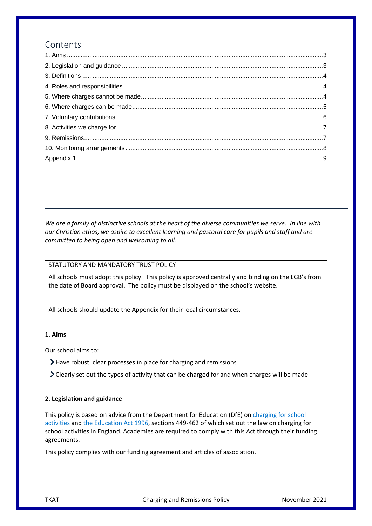### Contents

*We are a family of distinctive schools at the heart of the diverse communities we serve. In line with our Christian ethos, we aspire to excellent learning and pastoral care for pupils and staff and are committed to being open and welcoming to all.*

#### STATUTORY AND MANDATORY TRUST POLICY

All schools must adopt this policy. This policy is approved centrally and binding on the LGB's from the date of Board approval. The policy must be displayed on the school's website.

All schools should update the Appendix for their local circumstances.

#### <span id="page-2-0"></span>**1. Aims**

Our school aims to:

- Have robust, clear processes in place for charging and remissions
- Clearly set out the types of activity that can be charged for and when charges will be made

#### <span id="page-2-1"></span>**2. Legislation and guidance**

This policy is based on advice from the Department for Education (DfE) on [charging for school](https://www.gov.uk/government/publications/charging-for-school-activities)  [activities](https://www.gov.uk/government/publications/charging-for-school-activities) an[d the Education Act 1996,](http://www.legislation.gov.uk/ukpga/1996/56/part/VI/chapter/III) sections 449-462 of which set out the law on charging for school activities in England. Academies are required to comply with this Act through their funding agreements.

This policy complies with our funding agreement and articles of association.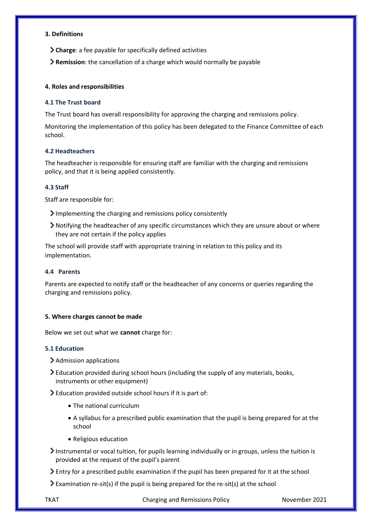#### <span id="page-3-0"></span>**3. Definitions**

**Charge**: a fee payable for specifically defined activities

**Remission**: the cancellation of a charge which would normally be payable

#### <span id="page-3-1"></span>**4. Roles and responsibilities**

#### **4.1 The Trust board**

The Trust board has overall responsibility for approving the charging and remissions policy.

Monitoring the implementation of this policy has been delegated to the Finance Committee of each school.

#### **4.2 Headteachers**

The headteacher is responsible for ensuring staff are familiar with the charging and remissions policy, and that it is being applied consistently.

#### **4.3 Staff**

Staff are responsible for:

- Implementing the charging and remissions policy consistently
- Notifying the headteacher of any specific circumstances which they are unsure about or where they are not certain if the policy applies

The school will provide staff with appropriate training in relation to this policy and its implementation.

#### **4.4 Parents**

Parents are expected to notify staff or the headteacher of any concerns or queries regarding the charging and remissions policy.

#### <span id="page-3-2"></span>**5. Where charges cannot be made**

Below we set out what we **cannot** charge for:

#### **5.1 Education**

- > Admission applications
- Education provided during school hours (including the supply of any materials, books, instruments or other equipment)

Education provided outside school hours if it is part of:

- The national curriculum
- A syllabus for a prescribed public examination that the pupil is being prepared for at the school
- Religious education
- Instrumental or vocal tuition, for pupils learning individually or in groups, unless the tuition is provided at the request of the pupil's parent
- Entry for a prescribed public examination if the pupil has been prepared for it at the school
- $\geq$  Examination re-sit(s) if the pupil is being prepared for the re-sit(s) at the school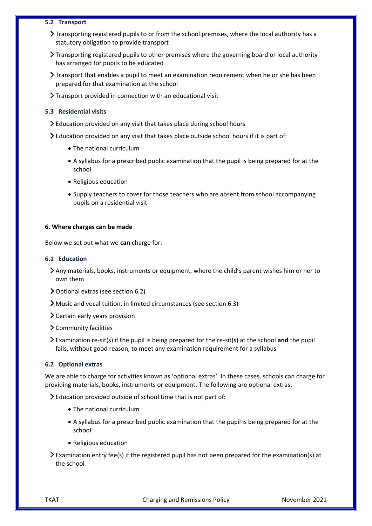#### **5.2 Transport**

- Transporting registered pupils to or from the school premises, where the local authority has a statutory obligation to provide transport
- Transporting registered pupils to other premises where the governing board or local authority has arranged for pupils to be educated
- Transport that enables a pupil to meet an examination requirement when he or she has been prepared for that examination at the school
- Transport provided in connection with an educational visit

#### **5.3 Residential visits**

- Education provided on any visit that takes place during school hours
- Education provided on any visit that takes place outside school hours if it is part of:
	- The national curriculum
	- A syllabus for a prescribed public examination that the pupil is being prepared for at the school
	- Religious education
	- Supply teachers to cover for those teachers who are absent from school accompanying pupils on a residential visit

#### <span id="page-4-0"></span>**6. Where charges can be made**

Below we set out what we **can** charge for:

#### **6.1 Education**

- Any materials, books, instruments or equipment, where the child's parent wishes him or her to own them
- Optional extras (see section 6.2)
- Music and vocal tuition, in limited circumstances (see section 6.3)
- Certain early years provision
- Community facilities
- Examination re-sit(s) if the pupil is being prepared for the re-sit(s) at the school **and** the pupil fails, without good reason, to meet any examination requirement for a syllabus

#### **6.2 Optional extras**

We are able to charge for activities known as 'optional extras'. In these cases, schools can charge for providing materials, books, instruments or equipment. The following are optional extras:

Education provided outside of school time that is not part of:

- The national curriculum
- A syllabus for a prescribed public examination that the pupil is being prepared for at the school
- Religious education

 $\geq$  Examination entry fee(s) if the registered pupil has not been prepared for the examination(s) at the school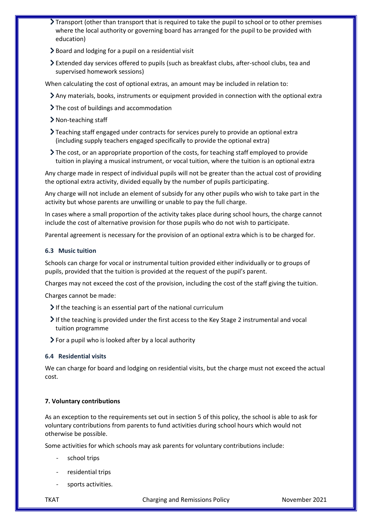- Transport (other than transport that is required to take the pupil to school or to other premises where the local authority or governing board has arranged for the pupil to be provided with education)
- Board and lodging for a pupil on a residential visit
- Extended day services offered to pupils (such as breakfast clubs, after-school clubs, tea and supervised homework sessions)

When calculating the cost of optional extras, an amount may be included in relation to:

- Any materials, books, instruments or equipment provided in connection with the optional extra
- > The cost of buildings and accommodation
- Non-teaching staff
- Teaching staff engaged under contracts for services purely to provide an optional extra (including supply teachers engaged specifically to provide the optional extra)
- The cost, or an appropriate proportion of the costs, for teaching staff employed to provide tuition in playing a musical instrument, or vocal tuition, where the tuition is an optional extra

Any charge made in respect of individual pupils will not be greater than the actual cost of providing the optional extra activity, divided equally by the number of pupils participating.

Any charge will not include an element of subsidy for any other pupils who wish to take part in the activity but whose parents are unwilling or unable to pay the full charge.

In cases where a small proportion of the activity takes place during school hours, the charge cannot include the cost of alternative provision for those pupils who do not wish to participate.

Parental agreement is necessary for the provision of an optional extra which is to be charged for.

#### **6.3 Music tuition**

Schools can charge for vocal or instrumental tuition provided either individually or to groups of pupils, provided that the tuition is provided at the request of the pupil's parent.

Charges may not exceed the cost of the provision, including the cost of the staff giving the tuition.

Charges cannot be made:

- $\blacktriangleright$  If the teaching is an essential part of the national curriculum
- $\triangleright$  If the teaching is provided under the first access to the Key Stage 2 instrumental and vocal tuition programme
- $\triangleright$  For a pupil who is looked after by a local authority

#### **6.4 Residential visits**

We can charge for board and lodging on residential visits, but the charge must not exceed the actual cost.

#### <span id="page-5-0"></span>**7. Voluntary contributions**

As an exception to the requirements set out in section 5 of this policy, the school is able to ask for voluntary contributions from parents to fund activities during school hours which would not otherwise be possible.

Some activities for which schools may ask parents for voluntary contributions include:

- school trips
- residential trips
- sports activities.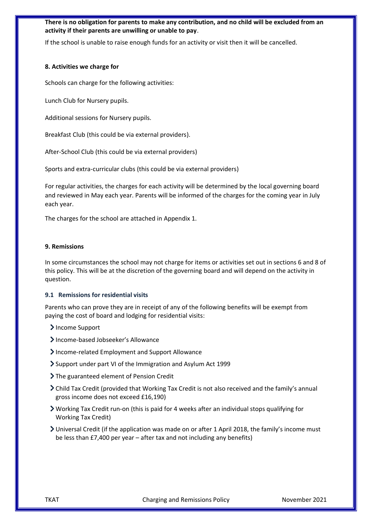#### **There is no obligation for parents to make any contribution, and no child will be excluded from an activity if their parents are unwilling or unable to pay**.

If the school is unable to raise enough funds for an activity or visit then it will be cancelled.

#### <span id="page-6-0"></span>**8. Activities we charge for**

Schools can charge for the following activities:

Lunch Club for Nursery pupils.

Additional sessions for Nursery pupils.

Breakfast Club (this could be via external providers).

After-School Club (this could be via external providers)

Sports and extra-curricular clubs (this could be via external providers)

For regular activities, the charges for each activity will be determined by the local governing board and reviewed in May each year. Parents will be informed of the charges for the coming year in July each year.

The charges for the school are attached in Appendix 1.

#### <span id="page-6-1"></span>**9. Remissions**

In some circumstances the school may not charge for items or activities set out in sections 6 and 8 of this policy. This will be at the discretion of the governing board and will depend on the activity in question.

#### **9.1 Remissions for residential visits**

Parents who can prove they are in receipt of any of the following benefits will be exempt from paying the cost of board and lodging for residential visits:

- >Income Support
- Income-based Jobseeker's Allowance
- Income-related Employment and Support Allowance
- Support under part VI of the Immigration and Asylum Act 1999
- > The guaranteed element of Pension Credit
- Child Tax Credit (provided that Working Tax Credit is not also received and the family's annual gross income does not exceed £16,190)
- Working Tax Credit run-on (this is paid for 4 weeks after an individual stops qualifying for Working Tax Credit)
- Universal Credit (if the application was made on or after 1 April 2018, the family's income must be less than £7,400 per year – after tax and not including any benefits)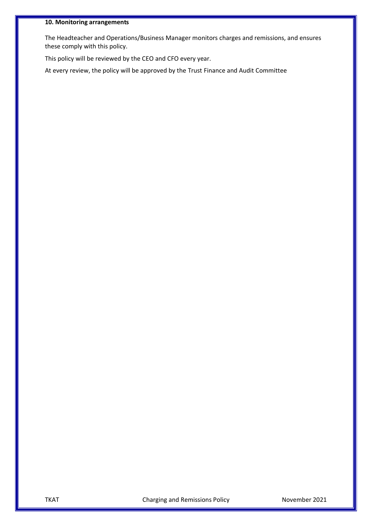#### <span id="page-7-0"></span>**10. Monitoring arrangements**

The Headteacher and Operations/Business Manager monitors charges and remissions, and ensures these comply with this policy.

This policy will be reviewed by the CEO and CFO every year.

At every review, the policy will be approved by the Trust Finance and Audit Committee